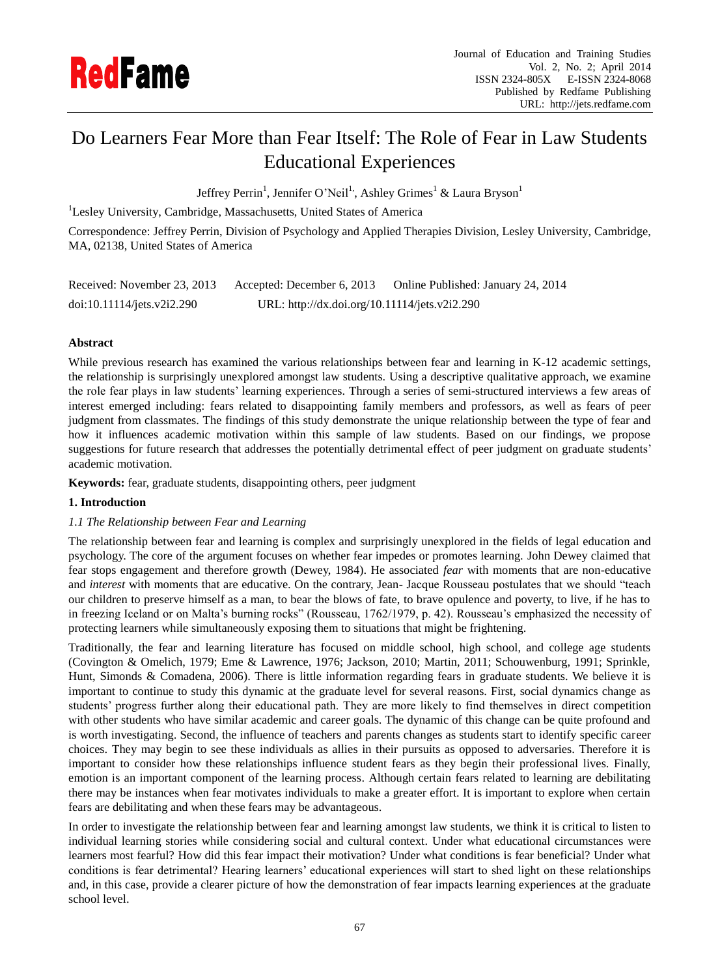

# Do Learners Fear More than Fear Itself: The Role of Fear in Law Students Educational Experiences

Jeffrey Perrin<sup>1</sup>, Jennifer O'Neil<sup>1,</sup>, Ashley Grimes<sup>1</sup> & Laura Bryson<sup>1</sup>

<sup>1</sup>Lesley University, Cambridge, Massachusetts, United States of America

Correspondence: Jeffrey Perrin, Division of Psychology and Applied Therapies Division, Lesley University, Cambridge, MA, 02138, United States of America

| Received: November 23, 2013 | Accepted: December 6, 2013                    | Online Published: January 24, 2014 |
|-----------------------------|-----------------------------------------------|------------------------------------|
| doi:10.11114/jets.v2i2.290  | URL: http://dx.doi.org/10.11114/jets.v2i2.290 |                                    |

# **Abstract**

While previous research has examined the various relationships between fear and learning in K-12 academic settings, the relationship is surprisingly unexplored amongst law students. Using a descriptive qualitative approach, we examine the role fear plays in law students" learning experiences. Through a series of semi-structured interviews a few areas of interest emerged including: fears related to disappointing family members and professors, as well as fears of peer judgment from classmates. The findings of this study demonstrate the unique relationship between the type of fear and how it influences academic motivation within this sample of law students. Based on our findings, we propose suggestions for future research that addresses the potentially detrimental effect of peer judgment on graduate students' academic motivation.

**Keywords:** fear, graduate students, disappointing others, peer judgment

# **1. Introduction**

# *1.1 The Relationship between Fear and Learning*

The relationship between fear and learning is complex and surprisingly unexplored in the fields of legal education and psychology. The core of the argument focuses on whether fear impedes or promotes learning. John Dewey claimed that fear stops engagement and therefore growth (Dewey, 1984). He associated *fear* with moments that are non-educative and *interest* with moments that are educative. On the contrary, Jean- Jacque Rousseau postulates that we should "teach our children to preserve himself as a man, to bear the blows of fate, to brave opulence and poverty, to live, if he has to in freezing Iceland or on Malta"s burning rocks" (Rousseau, 1762/1979, p. 42). Rousseau"s emphasized the necessity of protecting learners while simultaneously exposing them to situations that might be frightening.

Traditionally, the fear and learning literature has focused on middle school, high school, and college age students (Covington & Omelich, 1979; Eme & Lawrence, 1976; Jackson, 2010; Martin, 2011; Schouwenburg, 1991; Sprinkle, Hunt, Simonds & Comadena, 2006). There is little information regarding fears in graduate students. We believe it is important to continue to study this dynamic at the graduate level for several reasons. First, social dynamics change as students" progress further along their educational path. They are more likely to find themselves in direct competition with other students who have similar academic and career goals. The dynamic of this change can be quite profound and is worth investigating. Second, the influence of teachers and parents changes as students start to identify specific career choices. They may begin to see these individuals as allies in their pursuits as opposed to adversaries. Therefore it is important to consider how these relationships influence student fears as they begin their professional lives. Finally, emotion is an important component of the learning process. Although certain fears related to learning are debilitating there may be instances when fear motivates individuals to make a greater effort. It is important to explore when certain fears are debilitating and when these fears may be advantageous.

In order to investigate the relationship between fear and learning amongst law students, we think it is critical to listen to individual learning stories while considering social and cultural context. Under what educational circumstances were learners most fearful? How did this fear impact their motivation? Under what conditions is fear beneficial? Under what conditions is fear detrimental? Hearing learners" educational experiences will start to shed light on these relationships and, in this case, provide a clearer picture of how the demonstration of fear impacts learning experiences at the graduate school level.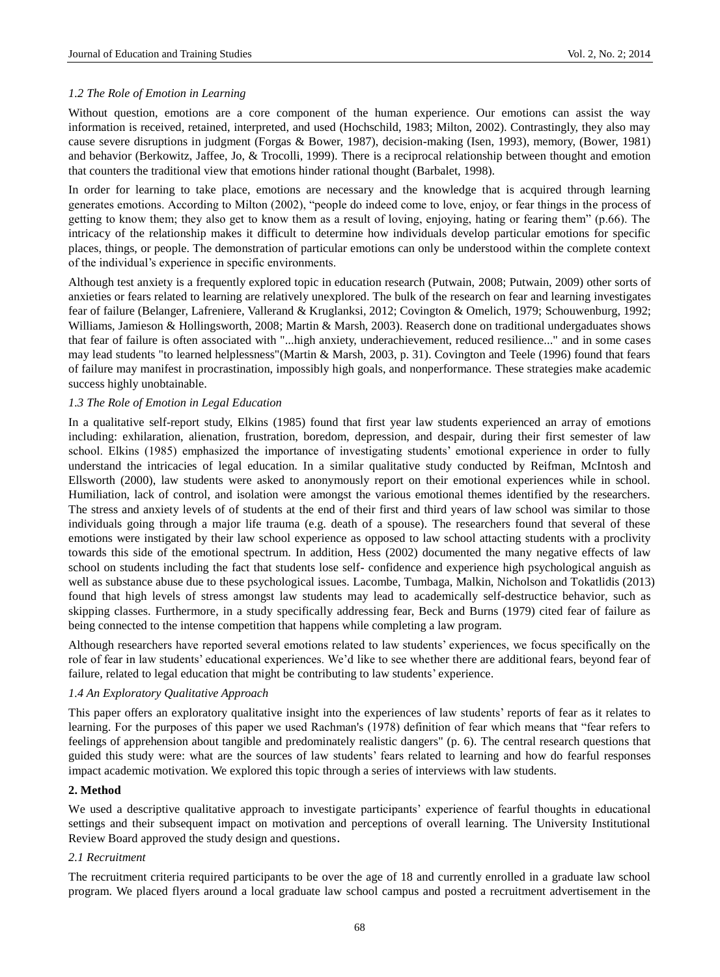# *1.2 The Role of Emotion in Learning*

Without question, emotions are a core component of the human experience. Our emotions can assist the way information is received, retained, interpreted, and used (Hochschild, 1983; Milton, 2002). Contrastingly, they also may cause severe disruptions in judgment (Forgas & Bower, 1987), decision-making (Isen, 1993), memory, (Bower, 1981) and behavior (Berkowitz, Jaffee, Jo, & Trocolli, 1999). There is a reciprocal relationship between thought and emotion that counters the traditional view that emotions hinder rational thought (Barbalet, 1998).

In order for learning to take place, emotions are necessary and the knowledge that is acquired through learning generates emotions. According to Milton (2002), "people do indeed come to love, enjoy, or fear things in the process of getting to know them; they also get to know them as a result of loving, enjoying, hating or fearing them" (p.66). The intricacy of the relationship makes it difficult to determine how individuals develop particular emotions for specific places, things, or people. The demonstration of particular emotions can only be understood within the complete context of the individual"s experience in specific environments.

Although test anxiety is a frequently explored topic in education research (Putwain, 2008; Putwain, 2009) other sorts of anxieties or fears related to learning are relatively unexplored. The bulk of the research on fear and learning investigates fear of failure (Belanger, Lafreniere, Vallerand & Kruglanksi, 2012; Covington & Omelich, 1979; Schouwenburg, 1992; Williams, Jamieson & Hollingsworth, 2008; Martin & Marsh, 2003). Reaserch done on traditional undergaduates shows that fear of failure is often associated with "...high anxiety, underachievement, reduced resilience..." and in some cases may lead students "to learned helplessness"(Martin & Marsh, 2003, p. 31). Covington and Teele (1996) found that fears of failure may manifest in procrastination, impossibly high goals, and nonperformance. These strategies make academic success highly unobtainable.

# *1.3 The Role of Emotion in Legal Education*

In a qualitative self-report study, Elkins (1985) found that first year law students experienced an array of emotions including: exhilaration, alienation, frustration, boredom, depression, and despair, during their first semester of law school. Elkins (1985) emphasized the importance of investigating students" emotional experience in order to fully understand the intricacies of legal education. In a similar qualitative study conducted by Reifman, McIntosh and Ellsworth (2000), law students were asked to anonymously report on their emotional experiences while in school. Humiliation, lack of control, and isolation were amongst the various emotional themes identified by the researchers. The stress and anxiety levels of of students at the end of their first and third years of law school was similar to those individuals going through a major life trauma (e.g. death of a spouse). The researchers found that several of these emotions were instigated by their law school experience as opposed to law school attacting students with a proclivity towards this side of the emotional spectrum. In addition, Hess (2002) documented the many negative effects of law school on students including the fact that students lose self- confidence and experience high psychological anguish as well as substance abuse due to these psychological issues. Lacombe, Tumbaga, Malkin, Nicholson and Tokatlidis (2013) found that high levels of stress amongst law students may lead to academically self-destructice behavior, such as skipping classes. Furthermore, in a study specifically addressing fear, Beck and Burns (1979) cited fear of failure as being connected to the intense competition that happens while completing a law program.

Although researchers have reported several emotions related to law students" experiences, we focus specifically on the role of fear in law students" educational experiences. We"d like to see whether there are additional fears, beyond fear of failure, related to legal education that might be contributing to law students" experience.

# *1.4 An Exploratory Qualitative Approach*

This paper offers an exploratory qualitative insight into the experiences of law students" reports of fear as it relates to learning. For the purposes of this paper we used Rachman's (1978) definition of fear which means that "fear refers to feelings of apprehension about tangible and predominately realistic dangers" (p. 6). The central research questions that guided this study were: what are the sources of law students" fears related to learning and how do fearful responses impact academic motivation. We explored this topic through a series of interviews with law students.

#### **2. Method**

We used a descriptive qualitative approach to investigate participants' experience of fearful thoughts in educational settings and their subsequent impact on motivation and perceptions of overall learning. The University Institutional Review Board approved the study design and questions.

#### *2.1 Recruitment*

The recruitment criteria required participants to be over the age of 18 and currently enrolled in a graduate law school program. We placed flyers around a local graduate law school campus and posted a recruitment advertisement in the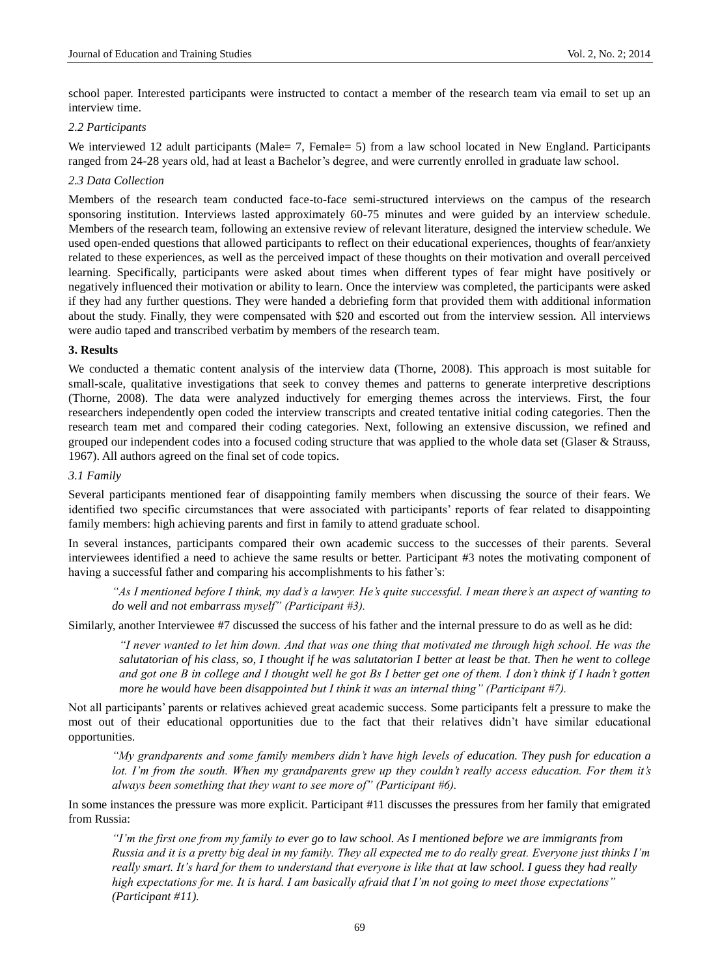school paper. Interested participants were instructed to contact a member of the research team via email to set up an interview time.

#### *2.2 Participants*

We interviewed 12 adult participants (Male = 7, Female = 5) from a law school located in New England. Participants ranged from 24-28 years old, had at least a Bachelor's degree, and were currently enrolled in graduate law school.

# *2.3 Data Collection*

Members of the research team conducted face-to-face semi-structured interviews on the campus of the research sponsoring institution. Interviews lasted approximately 60-75 minutes and were guided by an interview schedule. Members of the research team, following an extensive review of relevant literature, designed the interview schedule. We used open-ended questions that allowed participants to reflect on their educational experiences, thoughts of fear/anxiety related to these experiences, as well as the perceived impact of these thoughts on their motivation and overall perceived learning. Specifically, participants were asked about times when different types of fear might have positively or negatively influenced their motivation or ability to learn. Once the interview was completed, the participants were asked if they had any further questions. They were handed a debriefing form that provided them with additional information about the study. Finally, they were compensated with \$20 and escorted out from the interview session. All interviews were audio taped and transcribed verbatim by members of the research team.

# **3. Results**

We conducted a thematic content analysis of the interview data (Thorne, 2008). This approach is most suitable for small-scale, qualitative investigations that seek to convey themes and patterns to generate interpretive descriptions (Thorne, 2008). The data were analyzed inductively for emerging themes across the interviews. First, the four researchers independently open coded the interview transcripts and created tentative initial coding categories. Then the research team met and compared their coding categories. Next, following an extensive discussion, we refined and grouped our independent codes into a focused coding structure that was applied to the whole data set (Glaser & Strauss, 1967). All authors agreed on the final set of code topics.

## *3.1 Family*

Several participants mentioned fear of disappointing family members when discussing the source of their fears. We identified two specific circumstances that were associated with participants" reports of fear related to disappointing family members: high achieving parents and first in family to attend graduate school.

In several instances, participants compared their own academic success to the successes of their parents. Several interviewees identified a need to achieve the same results or better. Participant #3 notes the motivating component of having a successful father and comparing his accomplishments to his father's:

*"As I mentioned before I think, my dad"s a lawyer. He"s quite successful. I mean there"s an aspect of wanting to do well and not embarrass myself" (Participant #3).*

Similarly, another Interviewee #7 discussed the success of his father and the internal pressure to do as well as he did:

*"I never wanted to let him down. And that was one thing that motivated me through high school. He was the salutatorian of his class, so, I thought if he was salutatorian I better at least be that. Then he went to college and got one B in college and I thought well he got Bs I better get one of them. I don"t think if I hadn"t gotten more he would have been disappointed but I think it was an internal thing" (Participant #7).*

Not all participants" parents or relatives achieved great academic success. Some participants felt a pressure to make the most out of their educational opportunities due to the fact that their relatives didn"t have similar educational opportunities.

*"My grandparents and some family members didn"t have high levels of education. They push for education a lot. I'm from the south. When my grandparents grew up they couldn't really access education. For them it's always been something that they want to see more of" (Participant #6).*

In some instances the pressure was more explicit. Participant #11 discusses the pressures from her family that emigrated from Russia:

*"I"m the first one from my family to ever go to law school. As I mentioned before we are immigrants from Russia and it is a pretty big deal in my family. They all expected me to do really great. Everyone just thinks I"m really smart. It"s hard for them to understand that everyone is like that at law school. I guess they had really high expectations for me. It is hard. I am basically afraid that I"m not going to meet those expectations" (Participant #11).*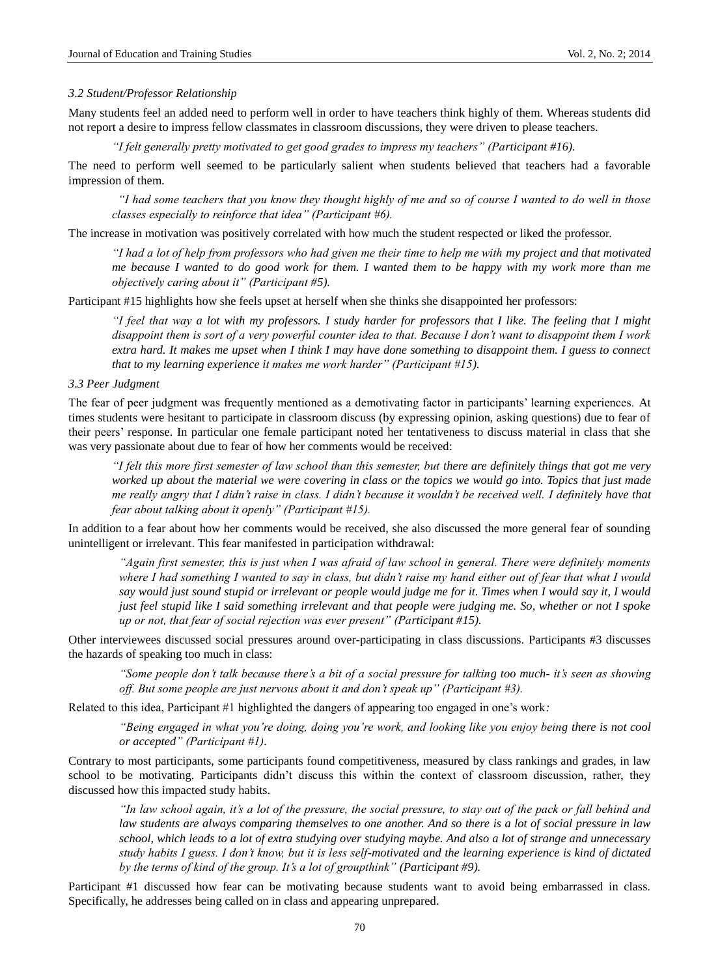## *3.2 Student/Professor Relationship*

Many students feel an added need to perform well in order to have teachers think highly of them. Whereas students did not report a desire to impress fellow classmates in classroom discussions, they were driven to please teachers.

*"I felt generally pretty motivated to get good grades to impress my teachers" (Participant #16).*

The need to perform well seemed to be particularly salient when students believed that teachers had a favorable impression of them.

*"I had some teachers that you know they thought highly of me and so of course I wanted to do well in those classes especially to reinforce that idea" (Participant #6).*

The increase in motivation was positively correlated with how much the student respected or liked the professor.

*"I had a lot of help from professors who had given me their time to help me with my project and that motivated me because I wanted to do good work for them. I wanted them to be happy with my work more than me objectively caring about it" (Participant #5).*

Participant #15 highlights how she feels upset at herself when she thinks she disappointed her professors:

*"I feel that way a lot with my professors. I study harder for professors that I like. The feeling that I might disappoint them is sort of a very powerful counter idea to that. Because I don"t want to disappoint them I work extra hard. It makes me upset when I think I may have done something to disappoint them. I guess to connect that to my learning experience it makes me work harder" (Participant #15).*

# *3.3 Peer Judgment*

The fear of peer judgment was frequently mentioned as a demotivating factor in participants" learning experiences. At times students were hesitant to participate in classroom discuss (by expressing opinion, asking questions) due to fear of their peers" response. In particular one female participant noted her tentativeness to discuss material in class that she was very passionate about due to fear of how her comments would be received:

*"I felt this more first semester of law school than this semester, but there are definitely things that got me very worked up about the material we were covering in class or the topics we would go into. Topics that just made me really angry that I didn"t raise in class. I didn"t because it wouldn"t be received well. I definitely have that fear about talking about it openly" (Participant #15).*

In addition to a fear about how her comments would be received, she also discussed the more general fear of sounding unintelligent or irrelevant. This fear manifested in participation withdrawal:

*"Again first semester, this is just when I was afraid of law school in general. There were definitely moments where I had something I wanted to say in class, but didn"t raise my hand either out of fear that what I would say would just sound stupid or irrelevant or people would judge me for it. Times when I would say it, I would just feel stupid like I said something irrelevant and that people were judging me. So, whether or not I spoke up or not, that fear of social rejection was ever present" (Participant #15).*

Other interviewees discussed social pressures around over-participating in class discussions. Participants #3 discusses the hazards of speaking too much in class:

*"Some people don"t talk because there"s a bit of a social pressure for talking too much- it"s seen as showing off. But some people are just nervous about it and don"t speak up" (Participant #3).*

Related to this idea, Participant #1 highlighted the dangers of appearing too engaged in one"s work*:*

*"Being engaged in what you"re doing, doing you"re work, and looking like you enjoy being there is not cool or accepted" (Participant #1).*

Contrary to most participants, some participants found competitiveness, measured by class rankings and grades, in law school to be motivating. Participants didn't discuss this within the context of classroom discussion, rather, they discussed how this impacted study habits.

*"In law school again, it"s a lot of the pressure, the social pressure, to stay out of the pack or fall behind and law students are always comparing themselves to one another. And so there is a lot of social pressure in law school, which leads to a lot of extra studying over studying maybe. And also a lot of strange and unnecessary study habits I guess. I don"t know, but it is less self-motivated and the learning experience is kind of dictated by the terms of kind of the group. It's a lot of groupthink" (Participant #9).* 

Participant #1 discussed how fear can be motivating because students want to avoid being embarrassed in class. Specifically, he addresses being called on in class and appearing unprepared.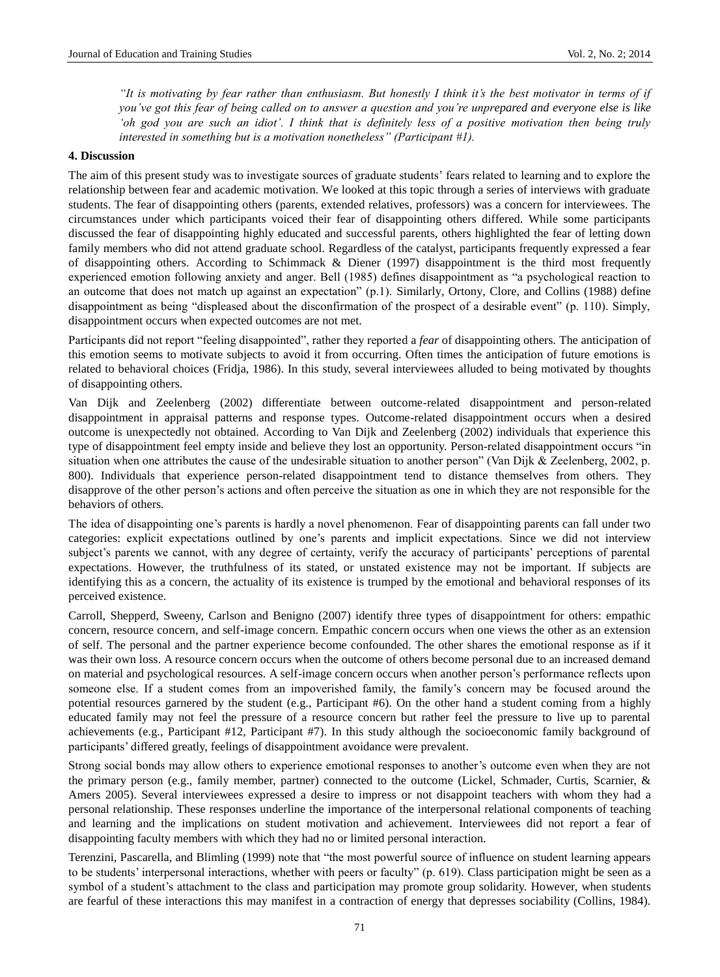*"It is motivating by fear rather than enthusiasm. But honestly I think it's the best motivator in terms of if you"ve got this fear of being called on to answer a question and you"re unprepared and everyone else is like "oh god you are such an idiot". I think that is definitely less of a positive motivation then being truly interested in something but is a motivation nonetheless" (Participant #1).*

## **4. Discussion**

The aim of this present study was to investigate sources of graduate students" fears related to learning and to explore the relationship between fear and academic motivation. We looked at this topic through a series of interviews with graduate students. The fear of disappointing others (parents, extended relatives, professors) was a concern for interviewees. The circumstances under which participants voiced their fear of disappointing others differed. While some participants discussed the fear of disappointing highly educated and successful parents, others highlighted the fear of letting down family members who did not attend graduate school. Regardless of the catalyst, participants frequently expressed a fear of disappointing others. According to Schimmack & Diener (1997) disappointment is the third most frequently experienced emotion following anxiety and anger. Bell (1985) defines disappointment as "a psychological reaction to an outcome that does not match up against an expectation" (p.1). Similarly, Ortony, Clore, and Collins (1988) define disappointment as being "displeased about the disconfirmation of the prospect of a desirable event" (p. 110). Simply, disappointment occurs when expected outcomes are not met.

Participants did not report "feeling disappointed", rather they reported a *fear* of disappointing others. The anticipation of this emotion seems to motivate subjects to avoid it from occurring. Often times the anticipation of future emotions is related to behavioral choices (Fridja, 1986). In this study, several interviewees alluded to being motivated by thoughts of disappointing others.

Van Dijk and Zeelenberg (2002) differentiate between outcome-related disappointment and person-related disappointment in appraisal patterns and response types. Outcome-related disappointment occurs when a desired outcome is unexpectedly not obtained. According to Van Dijk and Zeelenberg (2002) individuals that experience this type of disappointment feel empty inside and believe they lost an opportunity. Person-related disappointment occurs "in situation when one attributes the cause of the undesirable situation to another person" (Van Dijk & Zeelenberg, 2002, p. 800). Individuals that experience person-related disappointment tend to distance themselves from others. They disapprove of the other person"s actions and often perceive the situation as one in which they are not responsible for the behaviors of others.

The idea of disappointing one"s parents is hardly a novel phenomenon. Fear of disappointing parents can fall under two categories: explicit expectations outlined by one"s parents and implicit expectations. Since we did not interview subject's parents we cannot, with any degree of certainty, verify the accuracy of participants' perceptions of parental expectations. However, the truthfulness of its stated, or unstated existence may not be important. If subjects are identifying this as a concern, the actuality of its existence is trumped by the emotional and behavioral responses of its perceived existence.

Carroll, Shepperd, Sweeny, Carlson and Benigno (2007) identify three types of disappointment for others: empathic concern, resource concern, and self-image concern. Empathic concern occurs when one views the other as an extension of self. The personal and the partner experience become confounded. The other shares the emotional response as if it was their own loss. A resource concern occurs when the outcome of others become personal due to an increased demand on material and psychological resources. A self-image concern occurs when another person"s performance reflects upon someone else. If a student comes from an impoverished family, the family"s concern may be focused around the potential resources garnered by the student (e.g., Participant #6). On the other hand a student coming from a highly educated family may not feel the pressure of a resource concern but rather feel the pressure to live up to parental achievements (e.g., Participant #12, Participant #7). In this study although the socioeconomic family background of participants" differed greatly, feelings of disappointment avoidance were prevalent.

Strong social bonds may allow others to experience emotional responses to another"s outcome even when they are not the primary person (e.g., family member, partner) connected to the outcome (Lickel, Schmader, Curtis, Scarnier, & Amers 2005). Several interviewees expressed a desire to impress or not disappoint teachers with whom they had a personal relationship. These responses underline the importance of the interpersonal relational components of teaching and learning and the implications on student motivation and achievement. Interviewees did not report a fear of disappointing faculty members with which they had no or limited personal interaction.

Terenzini, Pascarella, and Blimling (1999) note that "the most powerful source of influence on student learning appears to be students' interpersonal interactions, whether with peers or faculty" (p. 619). Class participation might be seen as a symbol of a student's attachment to the class and participation may promote group solidarity. However, when students are fearful of these interactions this may manifest in a contraction of energy that depresses sociability (Collins, 1984).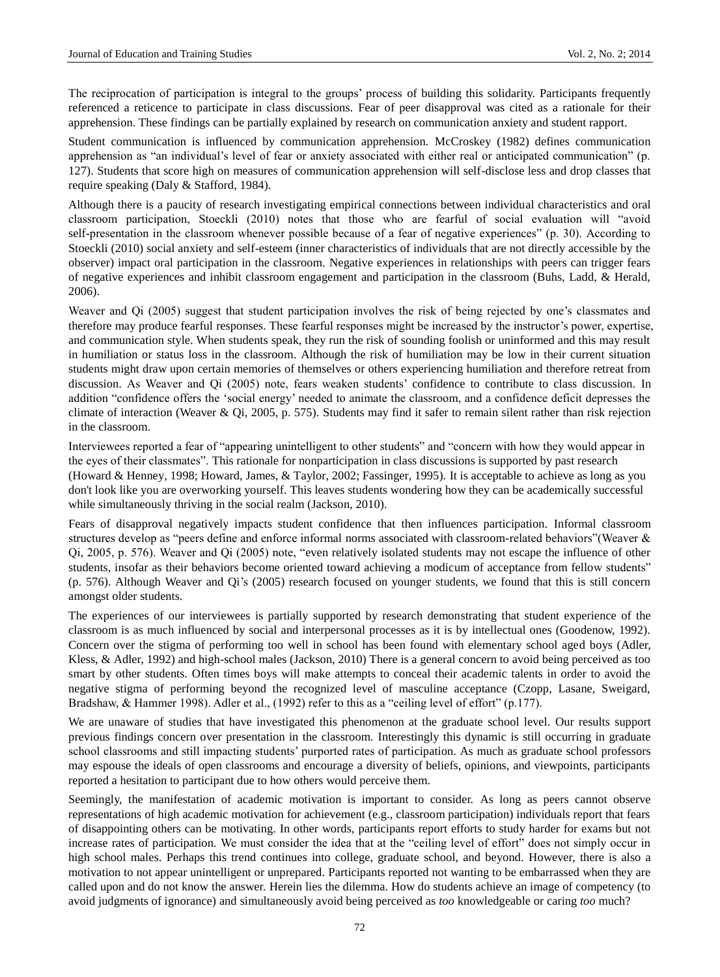The reciprocation of participation is integral to the groups" process of building this solidarity. Participants frequently referenced a reticence to participate in class discussions. Fear of peer disapproval was cited as a rationale for their apprehension. These findings can be partially explained by research on communication anxiety and student rapport.

Student communication is influenced by communication apprehension. McCroskey (1982) defines communication apprehension as "an individual"s level of fear or anxiety associated with either real or anticipated communication" (p. 127). Students that score high on measures of communication apprehension will self-disclose less and drop classes that require speaking (Daly & Stafford, 1984).

Although there is a paucity of research investigating empirical connections between individual characteristics and oral classroom participation, Stoeckli (2010) notes that those who are fearful of social evaluation will "avoid self-presentation in the classroom whenever possible because of a fear of negative experiences" (p. 30). According to Stoeckli (2010) social anxiety and self-esteem (inner characteristics of individuals that are not directly accessible by the observer) impact oral participation in the classroom. Negative experiences in relationships with peers can trigger fears of negative experiences and inhibit classroom engagement and participation in the classroom (Buhs, Ladd, & Herald, 2006).

Weaver and Qi (2005) suggest that student participation involves the risk of being rejected by one"s classmates and therefore may produce fearful responses. These fearful responses might be increased by the instructor's power, expertise, and communication style. When students speak, they run the risk of sounding foolish or uninformed and this may result in humiliation or status loss in the classroom. Although the risk of humiliation may be low in their current situation students might draw upon certain memories of themselves or others experiencing humiliation and therefore retreat from discussion. As Weaver and Qi (2005) note, fears weaken students" confidence to contribute to class discussion. In addition "confidence offers the "social energy" needed to animate the classroom, and a confidence deficit depresses the climate of interaction (Weaver & Qi, 2005, p. 575). Students may find it safer to remain silent rather than risk rejection in the classroom.

Interviewees reported a fear of "appearing unintelligent to other students" and "concern with how they would appear in the eyes of their classmates". This rationale for nonparticipation in class discussions is supported by past research (Howard & Henney, 1998; Howard, James, & Taylor, 2002; Fassinger, 1995). It is acceptable to achieve as long as you don't look like you are overworking yourself. This leaves students wondering how they can be academically successful while simultaneously thriving in the social realm (Jackson, 2010).

Fears of disapproval negatively impacts student confidence that then influences participation. Informal classroom structures develop as "peers define and enforce informal norms associated with classroom-related behaviors"(Weaver & Qi, 2005, p. 576). Weaver and Qi (2005) note, "even relatively isolated students may not escape the influence of other students, insofar as their behaviors become oriented toward achieving a modicum of acceptance from fellow students" (p. 576). Although Weaver and Qi"s (2005) research focused on younger students, we found that this is still concern amongst older students.

The experiences of our interviewees is partially supported by research demonstrating that student experience of the classroom is as much influenced by social and interpersonal processes as it is by intellectual ones (Goodenow, 1992). Concern over the stigma of performing too well in school has been found with elementary school aged boys (Adler, Kless, & Adler, 1992) and high-school males (Jackson, 2010) There is a general concern to avoid being perceived as too smart by other students. Often times boys will make attempts to conceal their academic talents in order to avoid the negative stigma of performing beyond the recognized level of masculine acceptance (Czopp, Lasane, Sweigard, Bradshaw, & Hammer 1998). Adler et al., (1992) refer to this as a "ceiling level of effort" (p.177).

We are unaware of studies that have investigated this phenomenon at the graduate school level. Our results support previous findings concern over presentation in the classroom. Interestingly this dynamic is still occurring in graduate school classrooms and still impacting students" purported rates of participation. As much as graduate school professors may espouse the ideals of open classrooms and encourage a diversity of beliefs, opinions, and viewpoints, participants reported a hesitation to participant due to how others would perceive them.

Seemingly, the manifestation of academic motivation is important to consider. As long as peers cannot observe representations of high academic motivation for achievement (e.g., classroom participation) individuals report that fears of disappointing others can be motivating. In other words, participants report efforts to study harder for exams but not increase rates of participation. We must consider the idea that at the "ceiling level of effort" does not simply occur in high school males. Perhaps this trend continues into college, graduate school, and beyond. However, there is also a motivation to not appear unintelligent or unprepared. Participants reported not wanting to be embarrassed when they are called upon and do not know the answer. Herein lies the dilemma. How do students achieve an image of competency (to avoid judgments of ignorance) and simultaneously avoid being perceived as *too* knowledgeable or caring *too* much?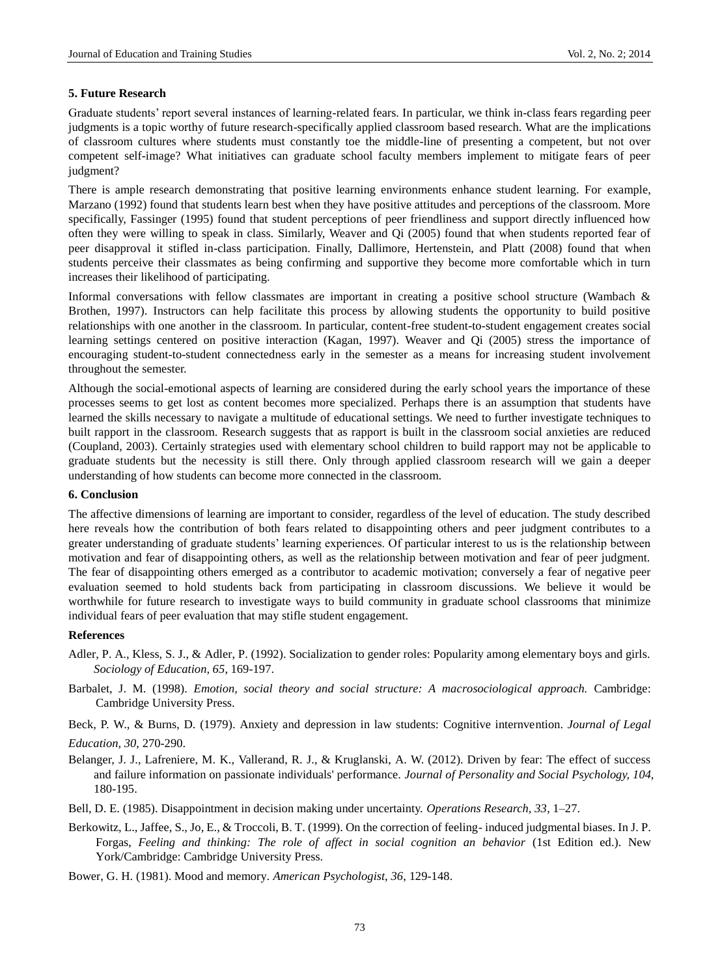## **5. Future Research**

Graduate students' report several instances of learning-related fears. In particular, we think in-class fears regarding peer judgments is a topic worthy of future research-specifically applied classroom based research. What are the implications of classroom cultures where students must constantly toe the middle-line of presenting a competent, but not over competent self-image? What initiatives can graduate school faculty members implement to mitigate fears of peer judgment?

There is ample research demonstrating that positive learning environments enhance student learning. For example, Marzano (1992) found that students learn best when they have positive attitudes and perceptions of the classroom. More specifically, Fassinger (1995) found that student perceptions of peer friendliness and support directly influenced how often they were willing to speak in class. Similarly, Weaver and Qi (2005) found that when students reported fear of peer disapproval it stifled in-class participation. Finally, Dallimore, Hertenstein, and Platt (2008) found that when students perceive their classmates as being confirming and supportive they become more comfortable which in turn increases their likelihood of participating.

Informal conversations with fellow classmates are important in creating a positive school structure (Wambach & Brothen, 1997). Instructors can help facilitate this process by allowing students the opportunity to build positive relationships with one another in the classroom. In particular, content-free student-to-student engagement creates social learning settings centered on positive interaction (Kagan, 1997). Weaver and Qi (2005) stress the importance of encouraging student-to-student connectedness early in the semester as a means for increasing student involvement throughout the semester.

Although the social-emotional aspects of learning are considered during the early school years the importance of these processes seems to get lost as content becomes more specialized. Perhaps there is an assumption that students have learned the skills necessary to navigate a multitude of educational settings. We need to further investigate techniques to built rapport in the classroom. Research suggests that as rapport is built in the classroom social anxieties are reduced (Coupland, 2003). Certainly strategies used with elementary school children to build rapport may not be applicable to graduate students but the necessity is still there. Only through applied classroom research will we gain a deeper understanding of how students can become more connected in the classroom.

# **6. Conclusion**

The affective dimensions of learning are important to consider, regardless of the level of education. The study described here reveals how the contribution of both fears related to disappointing others and peer judgment contributes to a greater understanding of graduate students" learning experiences. Of particular interest to us is the relationship between motivation and fear of disappointing others, as well as the relationship between motivation and fear of peer judgment. The fear of disappointing others emerged as a contributor to academic motivation; conversely a fear of negative peer evaluation seemed to hold students back from participating in classroom discussions. We believe it would be worthwhile for future research to investigate ways to build community in graduate school classrooms that minimize individual fears of peer evaluation that may stifle student engagement.

## **References**

- Adler, P. A., Kless, S. J., & Adler, P. (1992). Socialization to gender roles: Popularity among elementary boys and girls. *Sociology of Education, 65*, 169-197.
- Barbalet, J. M. (1998). *Emotion, social theory and social structure: A macrosociological approach.* Cambridge: Cambridge University Press.

Beck, P. W., & Burns, D. (1979). Anxiety and depression in law students: Cognitive internvention. *Journal of Legal Education, 30,* 270-290.

- Belanger, J. J., Lafreniere, M. K., Vallerand, R. J., & Kruglanski, A. W. (2012). Driven by fear: The effect of success and failure information on passionate individuals' performance. *Journal of Personality and Social Psychology, 104,* 180-195.
- Bell, D. E. (1985). Disappointment in decision making under uncertainty. *Operations Research, 33*, 1–27.
- Berkowitz, L., Jaffee, S., Jo, E., & Troccoli, B. T. (1999). On the correction of feeling- induced judgmental biases. In J. P. Forgas, *Feeling and thinking: The role of affect in social cognition an behavior* (1st Edition ed.). New York/Cambridge: Cambridge University Press.

Bower, G. H. (1981). Mood and memory. *American Psychologist, 36*, 129-148.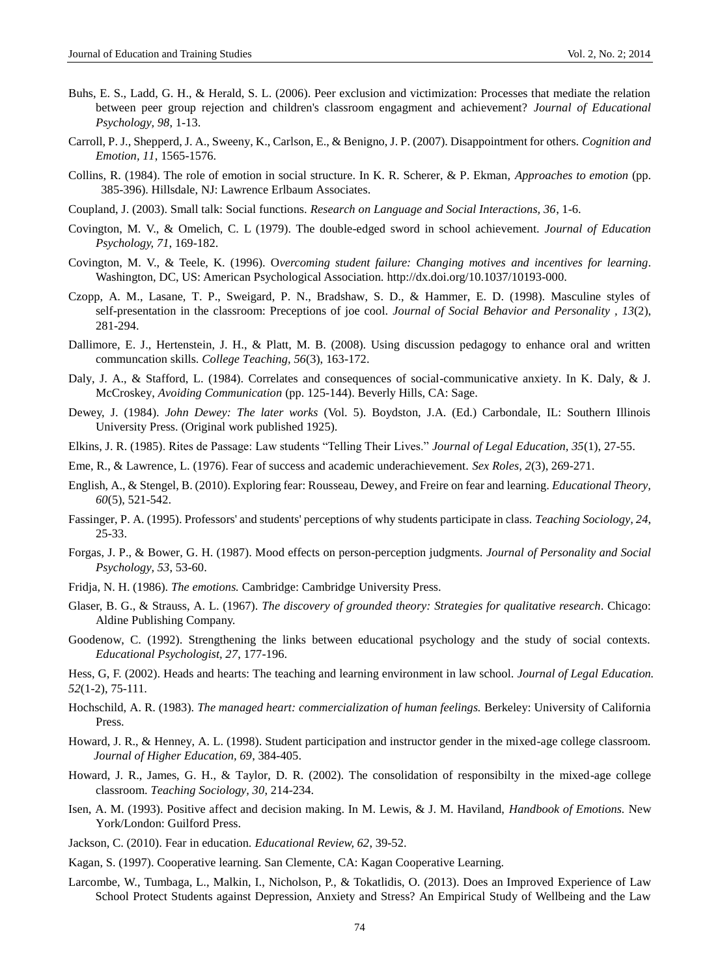- Buhs, E. S., Ladd, G. H., & Herald, S. L. (2006). Peer exclusion and victimization: Processes that mediate the relation between peer group rejection and children's classroom engagment and achievement? *Journal of Educational Psychology, 98*, 1-13.
- Carroll, P. J., Shepperd, J. A., Sweeny, K., Carlson, E., & Benigno, J. P. (2007). Disappointment for others. *Cognition and Emotion, 11*, 1565-1576.
- Collins, R. (1984). The role of emotion in social structure. In K. R. Scherer, & P. Ekman, *Approaches to emotion* (pp. 385-396). Hillsdale, NJ: Lawrence Erlbaum Associates.
- Coupland, J. (2003). Small talk: Social functions. *Research on Language and Social Interactions, 36*, 1-6.
- Covington, M. V., & Omelich, C. L (1979). The double-edged sword in school achievement. *Journal of Education Psychology, 71*, 169-182.
- Covington, M. V., & Teele, K. (1996). O*vercoming student failure: Changing motives and incentives for learning*. Washington, DC, US: American Psychological Association. http://dx.doi.org/10.1037/10193-000.
- Czopp, A. M., Lasane, T. P., Sweigard, P. N., Bradshaw, S. D., & Hammer, E. D. (1998). Masculine styles of self-presentation in the classroom: Preceptions of joe cool. *Journal of Social Behavior and Personality , 13*(2), 281-294.
- Dallimore, E. J., Hertenstein, J. H., & Platt, M. B. (2008). Using discussion pedagogy to enhance oral and written communcation skills. *College Teaching, 56*(3), 163-172.
- Daly, J. A., & Stafford, L. (1984). Correlates and consequences of social-communicative anxiety. In K. Daly, & J. McCroskey, *Avoiding Communication* (pp. 125-144). Beverly Hills, CA: Sage.
- Dewey, J. (1984). *John Dewey: The later works* (Vol. 5). Boydston, J.A. (Ed.) Carbondale, IL: Southern Illinois University Press. (Original work published 1925).
- Elkins, J. R. (1985). Rites de Passage: Law students "Telling Their Lives." *Journal of Legal Education, 35*(1), 27-55.
- Eme, R., & Lawrence, L. (1976). Fear of success and academic underachievement. *Sex Roles, 2*(3), 269-271.
- English, A., & Stengel, B. (2010). Exploring fear: Rousseau, Dewey, and Freire on fear and learning. *Educational Theory, 60*(5), 521-542.
- Fassinger, P. A. (1995). Professors' and students' perceptions of why students participate in class. *Teaching Sociology, 24*, 25-33.
- Forgas, J. P., & Bower, G. H. (1987). Mood effects on person-perception judgments. *Journal of Personality and Social Psychology, 53*, 53-60.
- Fridja, N. H. (1986). *The emotions.* Cambridge: Cambridge University Press.
- Glaser, B. G., & Strauss, A. L. (1967). *The discovery of grounded theory: Strategies for qualitative research*. Chicago: Aldine Publishing Company.
- Goodenow, C. (1992). Strengthening the links between educational psychology and the study of social contexts. *Educational Psychologist, 27*, 177-196.
- Hess, G, F. (2002). Heads and hearts: The teaching and learning environment in law school. *Journal of Legal Education. 52*(1-2), 75-111.
- Hochschild, A. R. (1983). *The managed heart: commercialization of human feelings.* Berkeley: University of California Press.
- Howard, J. R., & Henney, A. L. (1998). Student participation and instructor gender in the mixed-age college classroom. *Journal of Higher Education, 69*, 384-405.
- Howard, J. R., James, G. H., & Taylor, D. R. (2002). The consolidation of responsibilty in the mixed-age college classroom. *Teaching Sociology, 30*, 214-234.
- Isen, A. M. (1993). Positive affect and decision making. In M. Lewis, & J. M. Haviland, *Handbook of Emotions.* New York/London: Guilford Press.
- Jackson, C. (2010). Fear in education. *Educational Review, 62*, 39-52.
- Kagan, S. (1997). Cooperative learning. San Clemente, CA: Kagan Cooperative Learning.
- Larcombe, W., Tumbaga, L., Malkin, I., Nicholson, P., & Tokatlidis, O. (2013). Does an Improved Experience of Law School Protect Students against Depression, Anxiety and Stress? An Empirical Study of Wellbeing and the Law